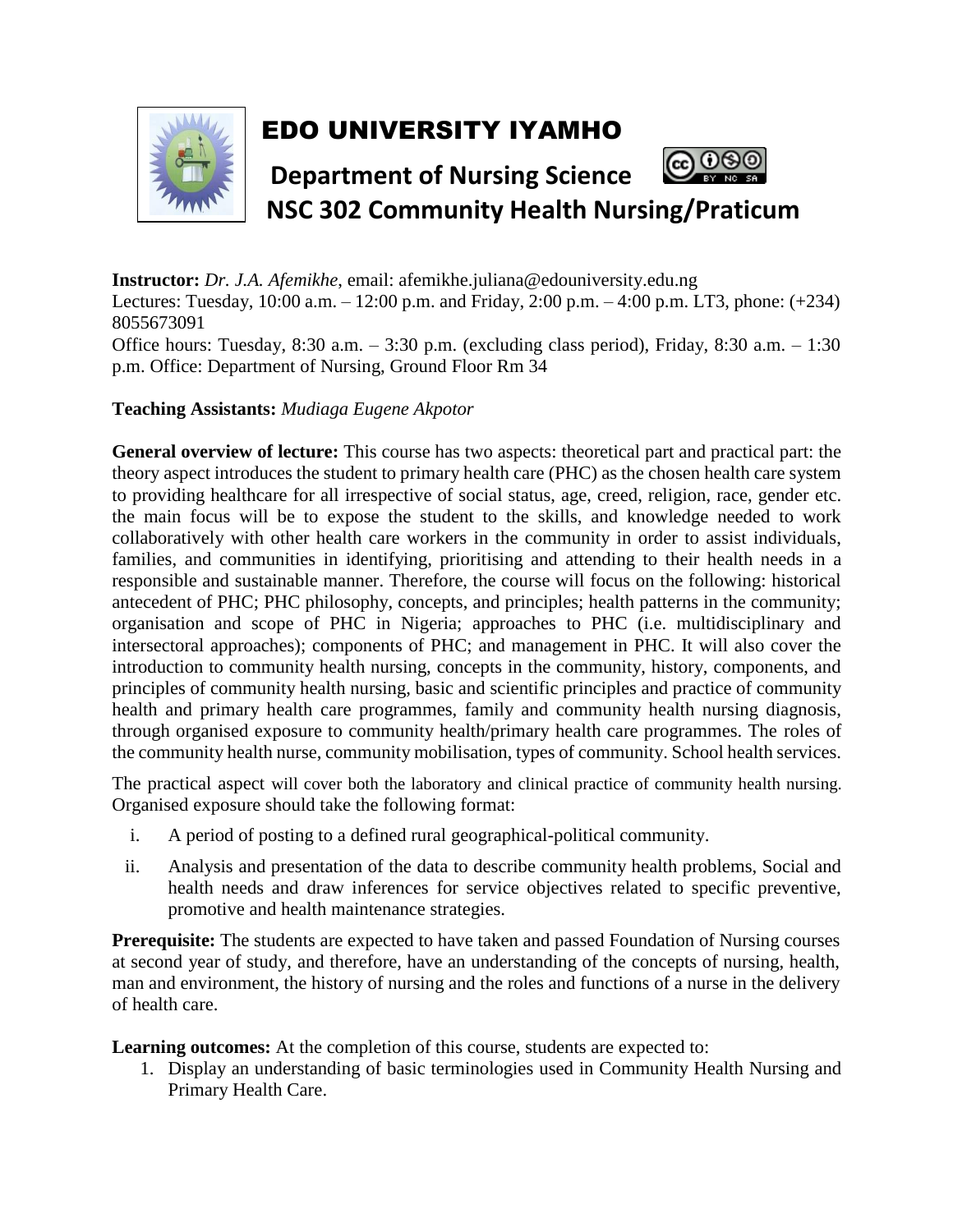

## EDO UNIVERSITY IYAMHO



**Instructor:** *Dr. J.A. Afemikhe*, email: afemikhe.juliana@edouniversity.edu.ng Lectures: Tuesday, 10:00 a.m. – 12:00 p.m. and Friday, 2:00 p.m. – 4:00 p.m. LT3, phone: (+234) 8055673091 Office hours: Tuesday, 8:30 a.m. – 3:30 p.m. (excluding class period), Friday, 8:30 a.m. – 1:30 p.m. Office: Department of Nursing, Ground Floor Rm 34

## **Teaching Assistants:** *Mudiaga Eugene Akpotor*

**General overview of lecture:** This course has two aspects: theoretical part and practical part: the theory aspect introduces the student to primary health care (PHC) as the chosen health care system to providing healthcare for all irrespective of social status, age, creed, religion, race, gender etc. the main focus will be to expose the student to the skills, and knowledge needed to work collaboratively with other health care workers in the community in order to assist individuals, families, and communities in identifying, prioritising and attending to their health needs in a responsible and sustainable manner. Therefore, the course will focus on the following: historical antecedent of PHC; PHC philosophy, concepts, and principles; health patterns in the community; organisation and scope of PHC in Nigeria; approaches to PHC (i.e. multidisciplinary and intersectoral approaches); components of PHC; and management in PHC. It will also cover the introduction to community health nursing, concepts in the community, history, components, and principles of community health nursing, basic and scientific principles and practice of community health and primary health care programmes, family and community health nursing diagnosis, through organised exposure to community health/primary health care programmes. The roles of the community health nurse, community mobilisation, types of community. School health services.

The practical aspect will cover both the laboratory and clinical practice of community health nursing. Organised exposure should take the following format:

- i. A period of posting to a defined rural geographical-political community.
- ii. Analysis and presentation of the data to describe community health problems, Social and health needs and draw inferences for service objectives related to specific preventive, promotive and health maintenance strategies.

**Prerequisite:** The students are expected to have taken and passed Foundation of Nursing courses at second year of study, and therefore, have an understanding of the concepts of nursing, health, man and environment, the history of nursing and the roles and functions of a nurse in the delivery of health care.

**Learning outcomes:** At the completion of this course, students are expected to:

1. Display an understanding of basic terminologies used in Community Health Nursing and Primary Health Care.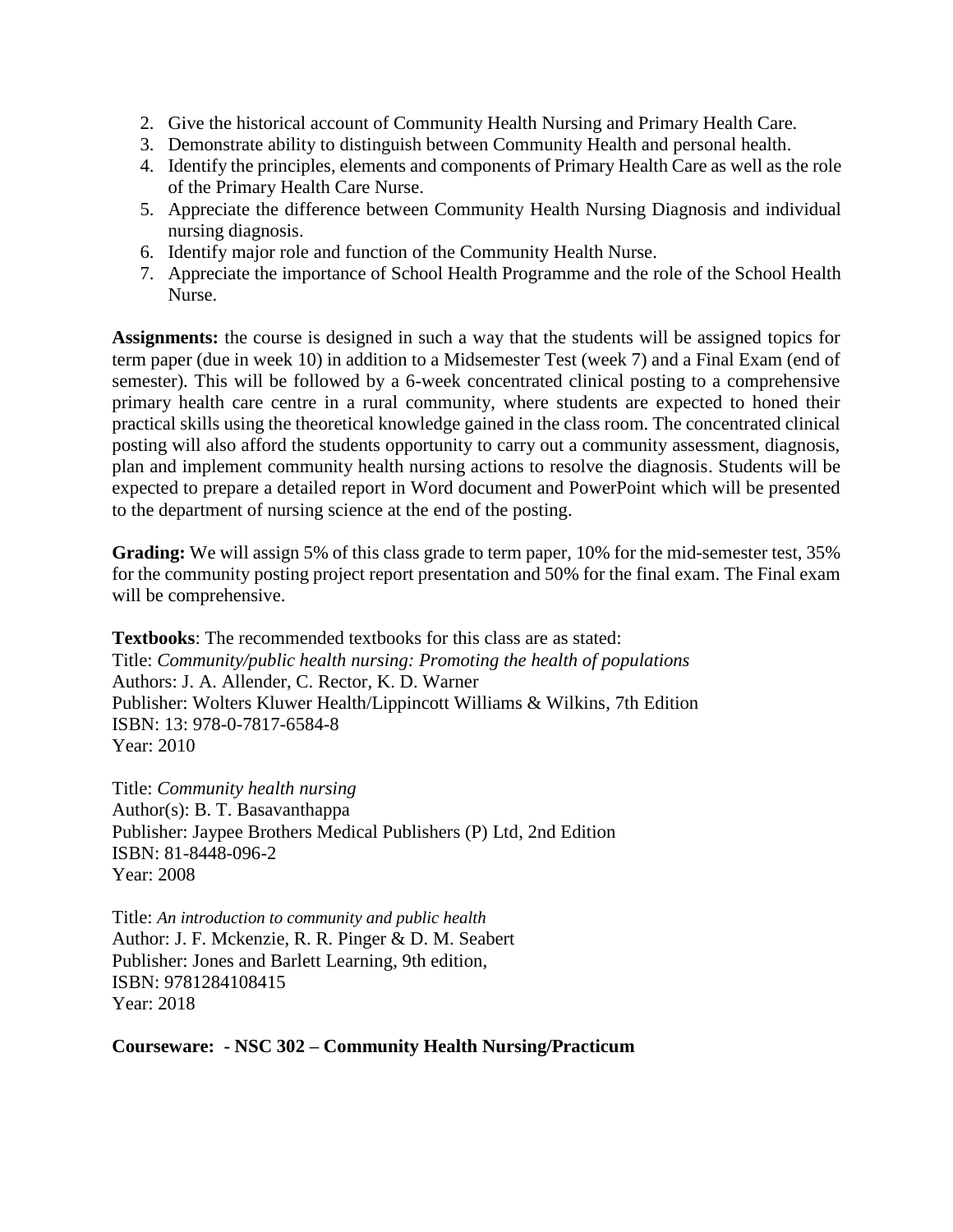- 2. Give the historical account of Community Health Nursing and Primary Health Care.
- 3. Demonstrate ability to distinguish between Community Health and personal health.
- 4. Identify the principles, elements and components of Primary Health Care as well as the role of the Primary Health Care Nurse.
- 5. Appreciate the difference between Community Health Nursing Diagnosis and individual nursing diagnosis.
- 6. Identify major role and function of the Community Health Nurse.
- 7. Appreciate the importance of School Health Programme and the role of the School Health Nurse.

**Assignments:** the course is designed in such a way that the students will be assigned topics for term paper (due in week 10) in addition to a Midsemester Test (week 7) and a Final Exam (end of semester). This will be followed by a 6-week concentrated clinical posting to a comprehensive primary health care centre in a rural community, where students are expected to honed their practical skills using the theoretical knowledge gained in the class room. The concentrated clinical posting will also afford the students opportunity to carry out a community assessment, diagnosis, plan and implement community health nursing actions to resolve the diagnosis. Students will be expected to prepare a detailed report in Word document and PowerPoint which will be presented to the department of nursing science at the end of the posting.

**Grading:** We will assign 5% of this class grade to term paper, 10% for the mid-semester test, 35% for the community posting project report presentation and 50% for the final exam. The Final exam will be comprehensive.

**Textbooks**: The recommended textbooks for this class are as stated: Title: *Community/public health nursing: Promoting the health of populations* Authors: J. A. Allender, C. Rector, K. D. Warner Publisher: Wolters Kluwer Health/Lippincott Williams & Wilkins, 7th Edition ISBN: 13: 978-0-7817-6584-8 Year: 2010

Title: *Community health nursing* Author(s): B. T. Basavanthappa Publisher: Jaypee Brothers Medical Publishers (P) Ltd, 2nd Edition ISBN: 81-8448-096-2 Year: 2008

Title: *An introduction to community and public health* Author: J. F. Mckenzie, R. R. Pinger & D. M. Seabert Publisher: Jones and Barlett Learning, 9th edition, ISBN: 9781284108415 Year: 2018

**Courseware: - NSC 302 – Community Health Nursing/Practicum**